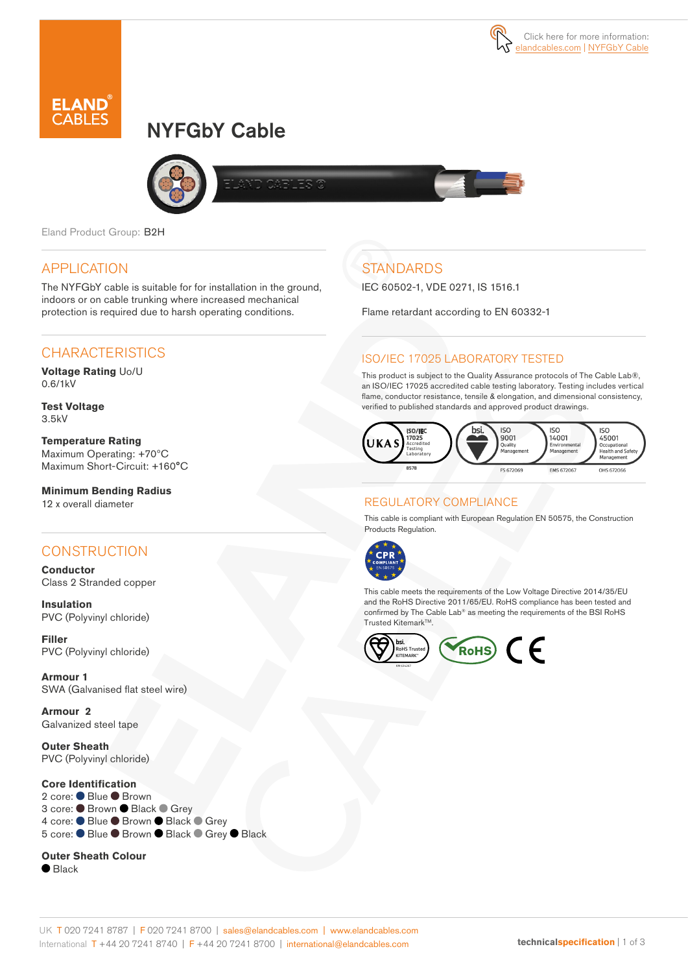# NYFGbY Cable



Eland Product Group: B2H

#### APPLICATION

The NYFGbY cable is suitable for for installation in the ground, indoors or on cable trunking where increased mechanical protection is required due to harsh operating conditions.

# **CHARACTERISTICS**

**Voltage Rating** Uo/U 0.6/1kV

**Test Voltage** 3.5kV

**Temperature Rating** Maximum Operating: +70ºC Maximum Short-Circuit: +160°C

**Minimum Bending Radius**  12 x overall diameter

## CONSTRUCTION

**Conductor** Class 2 Stranded copper

**Insulation** PVC (Polyvinyl chloride)

**Filler**  PVC (Polyvinyl chloride)

**Armour 1**  SWA (Galvanised flat steel wire)

**Armour 2**  Galvanized steel tape

**Outer Sheath** PVC (Polyvinyl chloride)

#### **Core Identification**

2 core: ● Blue ● Brown 3 core: ● Brown ● Black ● Grey 4 core: ● Blue ● Brown ● Black ● Grey 5 core: ● Blue ● Brown ● Black ● Grey ● Black

#### **Outer Sheath Colour**

 $\bullet$  Black

# **STANDARDS**

IEC 60502-1, VDE 0271, IS 1516.1

Flame retardant according to EN 60332-1

#### ISO/IEC 17025 LABORATORY TESTED

This product is subject to the Quality Assurance protocols of The Cable Lab®, an ISO/IEC 17025 accredited cable testing laboratory. Testing includes vertical flame, conductor resistance, tensile & elongation, and dimensional consistency, verified to published standards and approved product drawings.



#### REGULATORY COMPLIANCE

This cable is compliant with European Regulation EN 50575, the Construction Products Regulation.



This cable meets the requirements of the Low Voltage Directive 2014/35/EU and the RoHS Directive 2011/65/EU. RoHS compliance has been tested and confirmed by The Cable Lab® as meeting the requirements of the BSI RoHS Trusted Kitemark<sup>™</sup>.

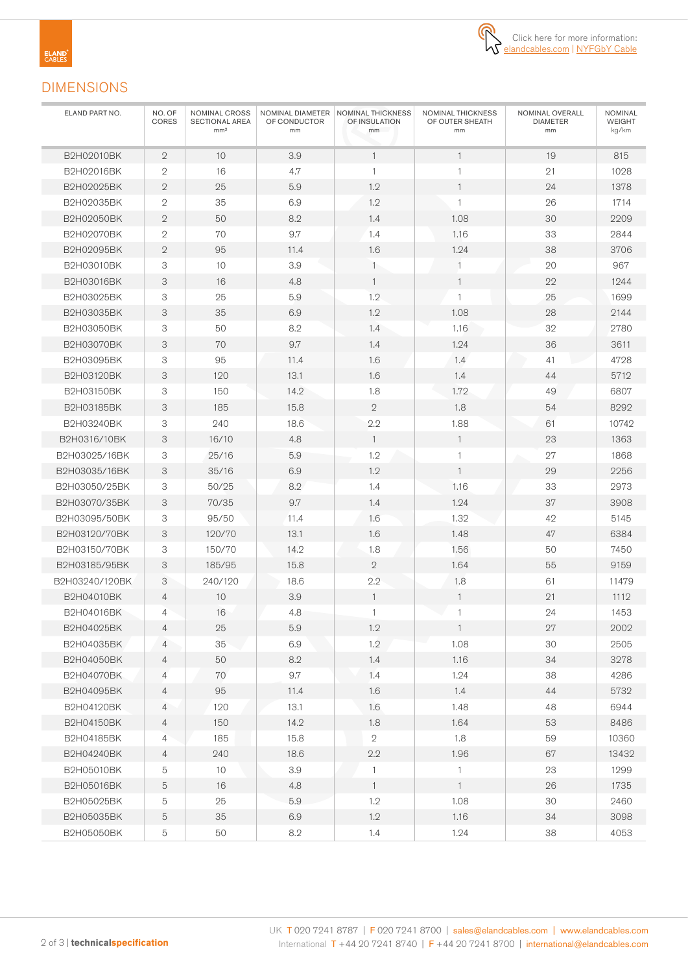

### DIMENSIONS

| ELAND PART NO. | NO. OF<br>CORES | NOMINAL CROSS<br>SECTIONAL AREA<br>mm <sup>2</sup> | OF CONDUCTOR<br>mm | NOMINAL DIAMETER   NOMINAL THICKNESS<br>OF INSULATION<br>mm | NOMINAL THICKNESS<br>OF OUTER SHEATH<br>mm | NOMINAL OVERALL<br><b>DIAMETER</b><br>mm | NOMINAL<br>WEIGHT<br>kg/km |
|----------------|-----------------|----------------------------------------------------|--------------------|-------------------------------------------------------------|--------------------------------------------|------------------------------------------|----------------------------|
| B2H02010BK     | $\mathbf{2}$    | 10                                                 | 3.9                | $\mathbf{1}$                                                | $\mathbf{1}$                               | 19                                       | 815                        |
| B2H02016BK     | $\mathbf{2}$    | 16                                                 | 4.7                | $\mathbf{1}$                                                |                                            | 21                                       | 1028                       |
| B2H02025BK     | $\mathbf{2}$    | 25                                                 | 5.9                | 1.2                                                         | 1                                          | 24                                       | 1378                       |
| B2H02035BK     | $\mathbf{2}$    | 35                                                 | 6.9                | 1.2                                                         | 1                                          | 26                                       | 1714                       |
| B2H02050BK     | $\mathbf{2}$    | 50                                                 | 8.2                | 1.4                                                         | 1.08                                       | 30                                       | 2209                       |
| B2H02070BK     | $\mathbf{2}$    | 70                                                 | 9.7                | 1.4                                                         | 1.16                                       | 33                                       | 2844                       |
| B2H02095BK     | $\overline{2}$  | 95                                                 | 11.4               | 1.6                                                         | 1.24                                       | 38                                       | 3706                       |
| B2H03010BK     | 3               | 10                                                 | 3.9                | $\mathbf{1}$                                                | 1                                          | 20                                       | 967                        |
| B2H03016BK     | 3               | 16                                                 | 4.8                | $\mathbf{1}$                                                | 1                                          | 22                                       | 1244                       |
| B2H03025BK     | 3               | 25                                                 | 5.9                | 1.2                                                         | $\mathbf{1}$                               | 25                                       | 1699                       |
| B2H03035BK     | 3               | 35                                                 | 6.9                | 1.2                                                         | 1.08                                       | 28                                       | 2144                       |
| B2H03050BK     | 3               | 50                                                 | 8.2                | 1.4                                                         | 1.16                                       | 32                                       | 2780                       |
| B2H03070BK     | 3               | 70                                                 | 9.7                | 1.4                                                         | 1.24                                       | 36                                       | 3611                       |
| B2H03095BK     | 3               | 95                                                 | 11.4               | 1.6                                                         | 1.4                                        | 41                                       | 4728                       |
| B2H03120BK     | 3               | 120                                                | 13.1               | 1.6                                                         | 1.4                                        | 44                                       | 5712                       |
| B2H03150BK     | 3               | 150                                                | 14.2               | 1.8                                                         | 1.72                                       | 49                                       | 6807                       |
| B2H03185BK     | 3               | 185                                                | 15.8               | $\overline{2}$                                              | 1.8                                        | 54                                       | 8292                       |
| B2H03240BK     | 3               | 240                                                | 18.6               | 2.2                                                         | 1.88                                       | 61                                       | 10742                      |
| B2H0316/10BK   | 3               | 16/10                                              | 4.8                | $\mathbf{1}$                                                | $\mathbf{1}$                               | 23                                       | 1363                       |
| B2H03025/16BK  | 3               | 25/16                                              | 5.9                | 1.2                                                         | 1                                          | 27                                       | 1868                       |
| B2H03035/16BK  | 3               | 35/16                                              | 6.9                | 1.2                                                         | $\mathbf{1}$                               | 29                                       | 2256                       |
| B2H03050/25BK  | 3               | 50/25                                              | 8.2                | 1.4                                                         | 1.16                                       | 33                                       | 2973                       |
| B2H03070/35BK  | 3               | 70/35                                              | 9.7                | 1.4                                                         | 1.24                                       | 37                                       | 3908                       |
| B2H03095/50BK  | 3               | 95/50                                              | 11.4               | 1.6                                                         | 1.32                                       | 42                                       | 5145                       |
| B2H03120/70BK  | 3               | 120/70                                             | 13.1               | 1.6                                                         | 1.48                                       | 47                                       | 6384                       |
| B2H03150/70BK  | 3               | 150/70                                             | 14.2               | 1.8                                                         | 1.56                                       | 50                                       | 7450                       |
| B2H03185/95BK  | 3               | 185/95                                             | 15.8               | $\mathbf{2}$                                                | 1.64                                       | 55                                       | 9159                       |
| B2H03240/120BK | 3               | 240/120                                            | 18.6               | 2.2                                                         | 1.8                                        | 61                                       | 11479                      |
| B2H04010BK     | 4               | 10                                                 | 3.9                | $\mathbf{1}$                                                | $\mathbf{1}$                               | 21                                       | 1112                       |
| B2H04016BK     | 4               | 16                                                 | 4.8                | $\mathbf{1}$                                                | 1                                          | 24                                       | 1453                       |
| B2H04025BK     | $\overline{4}$  | $25\,$                                             | 5.9                | 1.2                                                         | $\overline{1}$                             | $27\,$                                   | 2002                       |
| B2H04035BK     | 4               | 35                                                 | 6.9                | 1.2                                                         | 1.08                                       | 30                                       | 2505                       |
| B2H04050BK     | 4               | 50                                                 | 8.2                | 1.4                                                         | 1.16                                       | 34                                       | 3278                       |
| B2H04070BK     | $\overline{4}$  | 70                                                 | 9.7                | 1.4                                                         | 1.24                                       | 38                                       | 4286                       |
| B2H04095BK     | 4               | 95                                                 | 11.4               | 1.6                                                         | 1.4                                        | 44                                       | 5732                       |
| B2H04120BK     | $\overline{4}$  | 120                                                | 13.1               | 1.6                                                         | 1.48                                       | 48                                       | 6944                       |
| B2H04150BK     | 4               | 150                                                | 14.2               | 1.8                                                         | 1.64                                       | 53                                       | 8486                       |
| B2H04185BK     | 4               | 185                                                | 15.8               | $\mathbf{2}$                                                | 1.8                                        | 59                                       | 10360                      |
| B2H04240BK     | 4               | 240                                                | 18.6               | 2.2                                                         | 1.96                                       | 67                                       | 13432                      |
| B2H05010BK     | 5               | 10 <sup>°</sup>                                    | 3.9                | $\mathbf{1}$                                                | $\mathbf{1}$                               | 23                                       | 1299                       |
| B2H05016BK     | $\mathbf 5$     | 16                                                 | 4.8                | $\overline{1}$                                              | $\mathbf{1}$                               | 26                                       | 1735                       |
| B2H05025BK     | 5               | 25                                                 | 5.9                | $1.2\,$                                                     | 1.08                                       | 30                                       | 2460                       |
| B2H05035BK     | 5               | $35\,$                                             | $6.9\,$            | 1.2                                                         | 1.16                                       | 34                                       | 3098                       |
| B2H05050BK     | 5               | 50                                                 | $8.2\,$            | 1.4                                                         | 1.24                                       | 38                                       | 4053                       |